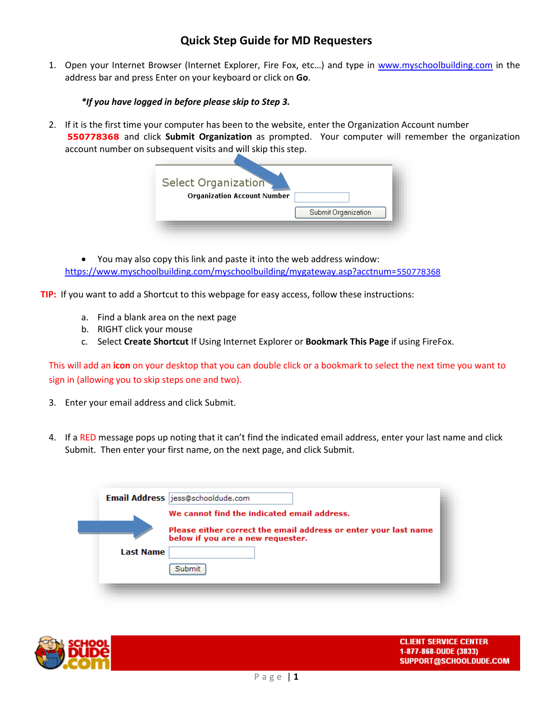### **Quick Step Guide for MD Requesters**

1. Open your Internet Browser (Internet Explorer, Fire Fox, etc…) and type in [www.myschoolbuilding.com](http://www.myschoolbuilding.com/) in the address bar and press Enter on your keyboard or click on **Go**.

#### *\*If you have logged in before please skip to Step 3.*

2. If it is the first time your computer has been to the website, enter the Organization Account number **550778368** and click **Submit Organization** as prompted. Your computer will remember the organization account number on subsequent visits and will skip this step.

| Select Organization<br><b>Organization Account Number</b> |                     |
|-----------------------------------------------------------|---------------------|
|                                                           | Submit Organization |

 You may also copy this link and paste it into the web address window: [https://www.myschoolbuilding.com/myschoolbuilding/mygateway.asp?acctnum=](https://www.myschoolbuilding.com/myschoolbuilding/mygateway.asp?acctnum=550778368)550778368

**TIP:** If you want to add a Shortcut to this webpage for easy access, follow these instructions:

- a. Find a blank area on the next page
- b. RIGHT click your mouse
- c. Select **Create Shortcut** If Using Internet Explorer or **Bookmark This Page** if using FireFox.

This will add an **icon** on your desktop that you can double click or a bookmark to select the next time you want to sign in (allowing you to skip steps one and two).

- 3. Enter your email address and click Submit.
- 4. If a RED message pops up noting that it can't find the indicated email address, enter your last name and click Submit. Then enter your first name, on the next page, and click Submit.

|                  | Email Address jess@schooldude.com                                                                    |
|------------------|------------------------------------------------------------------------------------------------------|
|                  | We cannot find the indicated email address.                                                          |
|                  | Please either correct the email address or enter your last name<br>below if you are a new requester. |
| <b>Last Name</b> |                                                                                                      |
|                  | Submit                                                                                               |
|                  |                                                                                                      |

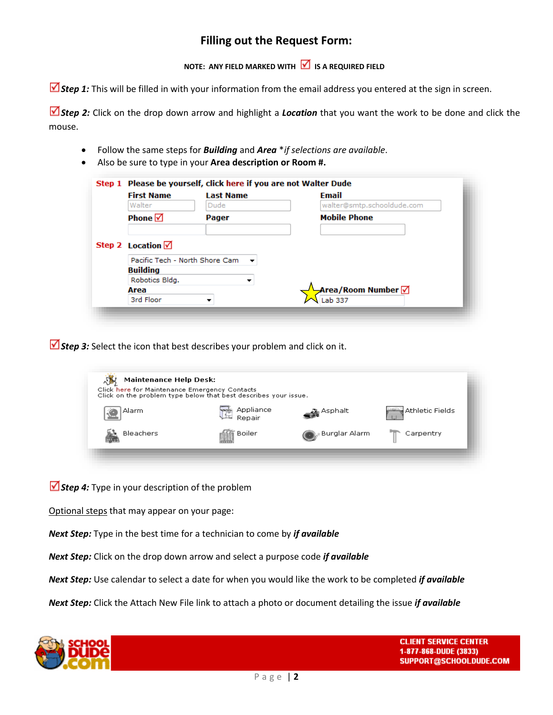## **Filling out the Request Form:**

### **NOTE: ANY FIELD MARKED WITH IS A REQUIRED FIELD**

■ *Step 1:* This will be filled in with your information from the email address you entered at the sign in screen.

■ Step 2: Click on the drop down arrow and highlight a **Location** that you want the work to be done and click the mouse.

- Follow the same steps for *Building* and *Area* \**if selections are available*.
- Also be sure to type in your **Area description or Room #.**

|  | <b>First Name</b>                                            | <b>Last Name</b> | Email                                          |
|--|--------------------------------------------------------------|------------------|------------------------------------------------|
|  | Walter                                                       | Dude             | walter@smtp.schooldude.com                     |
|  | Phone $\Box$                                                 | Pager            | <b>Mobile Phone</b>                            |
|  | Step 2 Location $\sqrt{ }$<br>Pacific Tech - North Shore Cam |                  |                                                |
|  | <b>Building</b>                                              |                  |                                                |
|  | Robotics Bldg.                                               | ▼                |                                                |
|  | Area                                                         |                  | <mark>→</mark> Area/Room Number <mark>√</mark> |
|  | 3rd Floor                                                    |                  | Lab 337                                        |

*Step 3:* Select the icon that best describes your problem and click on it.

| <b>Maintenance Help Desk:</b><br>Click here for Maintenance Emergency Contacts | Click on the problem type below that best describes your issue. |                              |                 |
|--------------------------------------------------------------------------------|-----------------------------------------------------------------|------------------------------|-----------------|
| Alarm                                                                          | Appliance<br>Repair                                             | $\mathcal{L}$ Asphalt        | Athletic Fields |
| Bleachers                                                                      | Boiler                                                          | <sub>v</sub> : Burglar Alarm | Carpentry       |
|                                                                                |                                                                 |                              |                 |

*Step 4:* Type in your description of the problem

Optional steps that may appear on your page:

*Next Step:* Type in the best time for a technician to come by *if available*

*Next Step:* Click on the drop down arrow and select a purpose code *if available*

*Next Step:* Use calendar to select a date for when you would like the work to be completed *if available*

*Next Step:* Click the Attach New File link to attach a photo or document detailing the issue *if available*

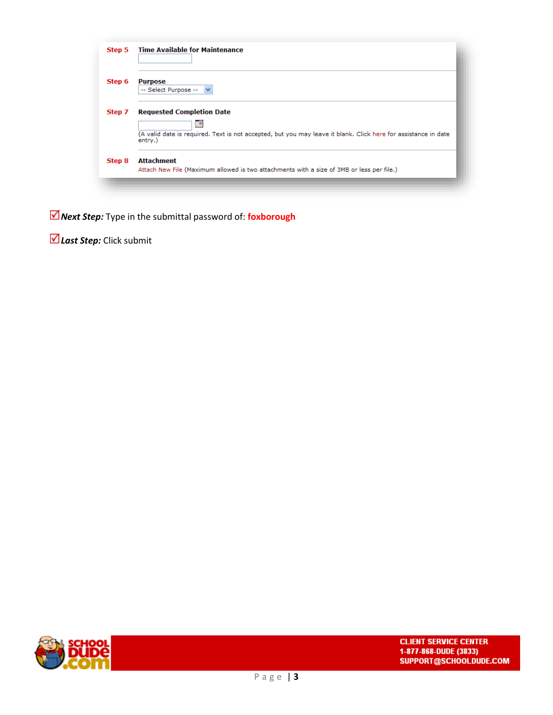| Step 5 | <b>Time Available for Maintenance</b>                                                                                     |
|--------|---------------------------------------------------------------------------------------------------------------------------|
| Step 6 | <b>Purpose</b><br>-- Select Purpose --<br>$\checkmark$                                                                    |
| Step 7 | <b>Requested Completion Date</b><br>▦                                                                                     |
|        | (A valid date is required. Text is not accepted, but you may leave it blank. Click here for assistance in date<br>entry.) |
| Step 8 | <b>Attachment</b><br>Attach New File (Maximum allowed is two attachments with a size of 3MB or less per file.)            |

*Next Step:* Type in the submittal password of: **foxborough**

*Last Step:* Click submit

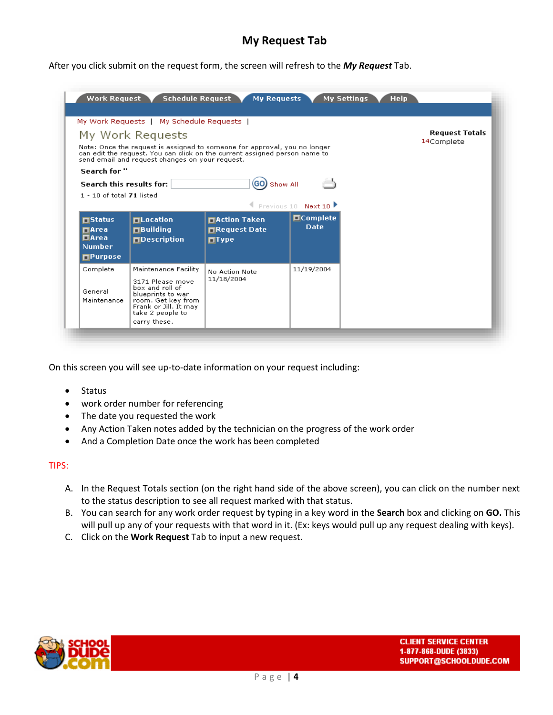# **My Request Tab**

After you click submit on the request form, the screen will refresh to the *My Request* Tab.

|                                         | My Work Requests   My Schedule Requests  <br>My Work Requests                                                               | Note: Once the request is assigned to someone for approval, you no longer  |                                          | <b>Request Totals</b><br>14Complete |
|-----------------------------------------|-----------------------------------------------------------------------------------------------------------------------------|----------------------------------------------------------------------------|------------------------------------------|-------------------------------------|
|                                         | send email and request changes on your request.                                                                             | can edit the request. You can click on the current assigned person name to |                                          |                                     |
| Search for "                            |                                                                                                                             |                                                                            |                                          |                                     |
| Search this results for:                |                                                                                                                             | (GO) Show All                                                              |                                          |                                     |
| $1 - 10$ of total $71$ listed           |                                                                                                                             |                                                                            |                                          |                                     |
|                                         |                                                                                                                             |                                                                            | Previous 10 Next 10<br><b>O</b> Complete |                                     |
| $\Box$ Status<br><b>MArea</b>           | <b>□Location</b><br>$\Box$ Building                                                                                         | <b>□Action Taken</b><br><b>□Request Date</b>                               | <b>Date</b>                              |                                     |
| <b>DArea</b>                            | <b>OD</b> Description                                                                                                       | $\blacksquare$ Type                                                        |                                          |                                     |
| <b>Number</b><br>$\blacksquare$ Purpose |                                                                                                                             |                                                                            |                                          |                                     |
| Complete                                | Maintenance Facility                                                                                                        | No Action Note                                                             | 11/19/2004                               |                                     |
| General<br>Maintenance                  | 3171 Please move<br>box and roll of<br>blueprints to war<br>room. Get key from<br>Frank or Jill. It may<br>take 2 people to | 11/18/2004                                                                 |                                          |                                     |
|                                         | carry these.                                                                                                                |                                                                            |                                          |                                     |

On this screen you will see up-to-date information on your request including:

- Status
- work order number for referencing
- The date you requested the work
- Any Action Taken notes added by the technician on the progress of the work order
- And a Completion Date once the work has been completed

#### TIPS:

- A. In the Request Totals section (on the right hand side of the above screen), you can click on the number next to the status description to see all request marked with that status.
- B. You can search for any work order request by typing in a key word in the **Search** box and clicking on **GO.** This will pull up any of your requests with that word in it. (Ex: keys would pull up any request dealing with keys).
- C. Click on the **Work Request** Tab to input a new request.